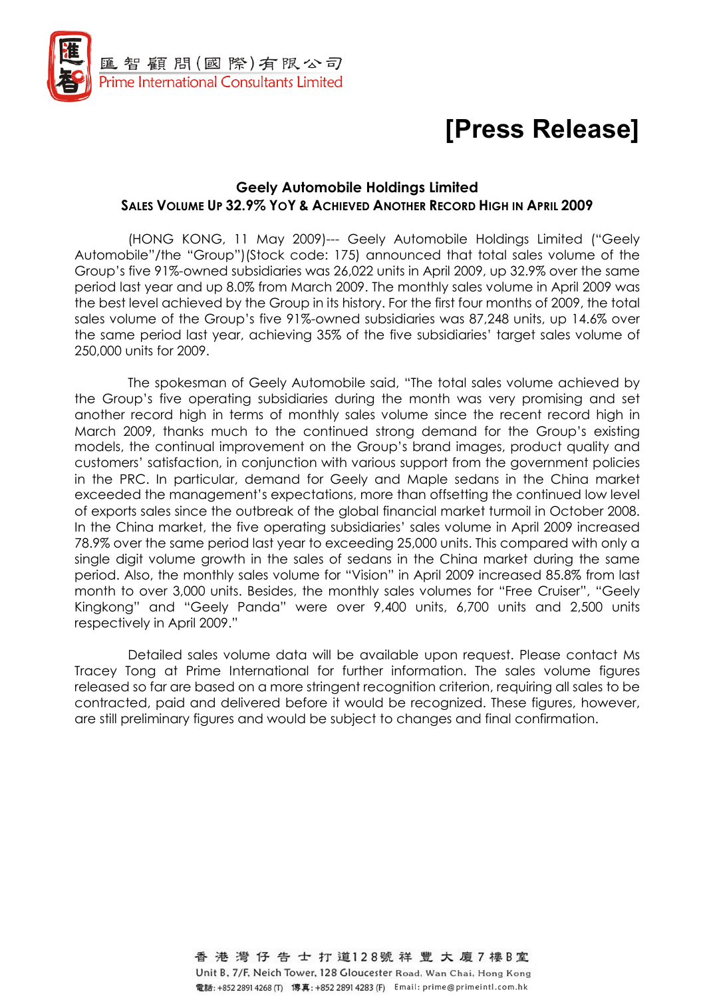

# [Press Release]

## Geely Automobile Holdings Limited SALES VOLUME UP 32.9% YOY & ACHIEVED ANOTHER RECORD HIGH IN APRIL 2009

(HONG KONG, 11 May 2009)--- Geely Automobile Holdings Limited ("Geely Automobile"/the "Group")(Stock code: 175) announced that total sales volume of the Group's five 91%-owned subsidiaries was 26,022 units in April 2009, up 32.9% over the same period last year and up 8.0% from March 2009. The monthly sales volume in April 2009 was the best level achieved by the Group in its history. For the first four months of 2009, the total sales volume of the Group's five 91%-owned subsidiaries was 87,248 units, up 14.6% over the same period last year, achieving 35% of the five subsidiaries' target sales volume of 250,000 units for 2009.

The spokesman of Geely Automobile said, "The total sales volume achieved by the Group's five operating subsidiaries during the month was very promising and set another record high in terms of monthly sales volume since the recent record high in March 2009, thanks much to the continued strong demand for the Group's existing models, the continual improvement on the Group's brand images, product quality and customers' satisfaction, in conjunction with various support from the government policies in the PRC. In particular, demand for Geely and Maple sedans in the China market exceeded the management's expectations, more than offsetting the continued low level of exports sales since the outbreak of the global financial market turmoil in October 2008. In the China market, the five operating subsidiaries' sales volume in April 2009 increased 78.9% over the same period last year to exceeding 25,000 units. This compared with only a single digit volume growth in the sales of sedans in the China market during the same period. Also, the monthly sales volume for "Vision" in April 2009 increased 85.8% from last month to over 3,000 units. Besides, the monthly sales volumes for "Free Cruiser", "Geely Kingkong" and "Geely Panda" were over 9,400 units, 6,700 units and 2,500 units respectively in April 2009."

Detailed sales volume data will be available upon request. Please contact Ms Tracey Tong at Prime International for further information. The sales volume figures released so far are based on a more stringent recognition criterion, requiring all sales to be contracted, paid and delivered before it would be recognized. These figures, however, are still preliminary figures and would be subject to changes and final confirmation.

> 香港灣仔告士打道128號祥豐大廈7樓B室 Unit B, 7/F, Neich Tower, 128 Gloucester Road, Wan Chai, Hong Kong 電話: +852 2891 4268 (T) 傳真: +852 2891 4283 (F) Email: prime@primeintl.com.hk